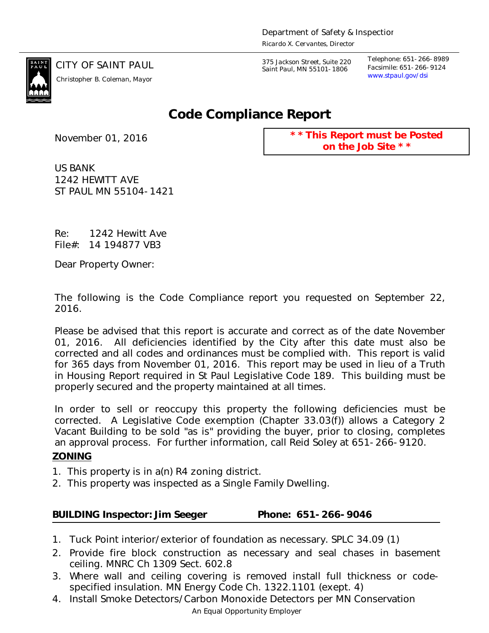

*www.stpaul.gov/dsi Christopher B. Coleman, Mayor*

CITY OF SAINT PAUL *375 Jackson Street, Suite 220 Saint Paul, MN 55101-1806*

*Telephone: 651-266-8989 Facsimile: 651-266-9124*

## **Code Compliance Report**

November 01, 2016

**\* \* This Report must be Posted on the Job Site \* \***

US BANK 1242 HEWITT AVE ST PAUL MN 55104-1421

Re: 1242 Hewitt Ave File#: 14 194877 VB3

Dear Property Owner:

The following is the Code Compliance report you requested on September 22, 2016.

Please be advised that this report is accurate and correct as of the date November 01, 2016. All deficiencies identified by the City after this date must also be corrected and all codes and ordinances must be complied with. This report is valid for 365 days from November 01, 2016. This report may be used in lieu of a Truth in Housing Report required in St Paul Legislative Code 189. This building must be properly secured and the property maintained at all times.

In order to sell or reoccupy this property the following deficiencies must be corrected. A Legislative Code exemption (Chapter 33.03(f)) allows a Category 2 Vacant Building to be sold "as is" providing the buyer, prior to closing, completes an approval process. For further information, call Reid Soley at 651-266-9120. **ZONING**

- 1. This property is in a(n) R4 zoning district.
- 2. This property was inspected as a Single Family Dwelling.

**BUILDING Inspector: Jim Seeger Phone: 651-266-9046**

- 1. Tuck Point interior/exterior of foundation as necessary. SPLC 34.09 (1)
- 2. Provide fire block construction as necessary and seal chases in basement ceiling. MNRC Ch 1309 Sect. 602.8
- 3. Where wall and ceiling covering is removed install full thickness or codespecified insulation. MN Energy Code Ch. 1322.1101 (exept. 4)
- An Equal Opportunity Employer 4. Install Smoke Detectors/Carbon Monoxide Detectors per MN Conservation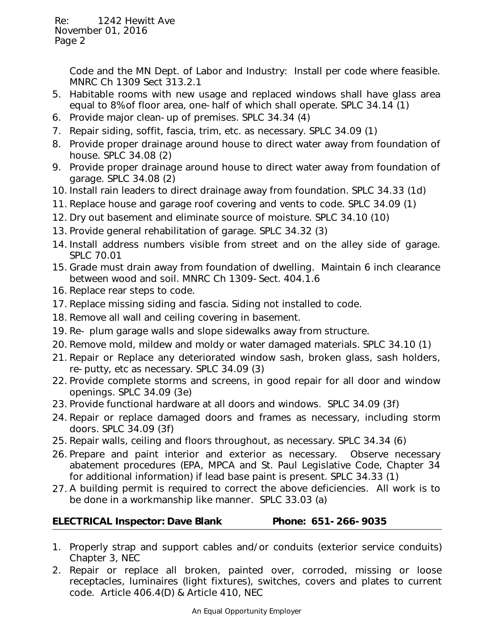Code and the MN Dept. of Labor and Industry: Install per code where feasible. MNRC Ch 1309 Sect 313.2.1

- 5. Habitable rooms with new usage and replaced windows shall have glass area equal to 8% of floor area, one-half of which shall operate. SPLC 34.14 (1)
- 6. Provide major clean-up of premises. SPLC 34.34 (4)
- 7. Repair siding, soffit, fascia, trim, etc. as necessary. SPLC 34.09 (1)
- 8. Provide proper drainage around house to direct water away from foundation of house. SPLC 34.08 (2)
- 9. Provide proper drainage around house to direct water away from foundation of garage. SPLC 34.08 (2)
- 10. Install rain leaders to direct drainage away from foundation. SPLC 34.33 (1d)
- 11. Replace house and garage roof covering and vents to code. SPLC 34.09 (1)
- 12. Dry out basement and eliminate source of moisture. SPLC 34.10 (10)
- 13. Provide general rehabilitation of garage. SPLC 34.32 (3)
- 14. Install address numbers visible from street and on the alley side of garage. SPLC 70.01
- 15. Grade must drain away from foundation of dwelling. Maintain 6 inch clearance between wood and soil. MNRC Ch 1309-Sect. 404.1.6
- 16. Replace rear steps to code.
- 17. Replace missing siding and fascia. Siding not installed to code.
- 18. Remove all wall and ceiling covering in basement.
- 19. Re- plum garage walls and slope sidewalks away from structure.
- 20. Remove mold, mildew and moldy or water damaged materials. SPLC 34.10 (1)
- 21. Repair or Replace any deteriorated window sash, broken glass, sash holders, re-putty, etc as necessary. SPLC 34.09 (3)
- 22. Provide complete storms and screens, in good repair for all door and window openings. SPLC 34.09 (3e)
- 23. Provide functional hardware at all doors and windows. SPLC 34.09 (3f)
- 24. Repair or replace damaged doors and frames as necessary, including storm doors. SPLC 34.09 (3f)
- 25. Repair walls, ceiling and floors throughout, as necessary. SPLC 34.34 (6)
- 26. Prepare and paint interior and exterior as necessary. Observe necessary abatement procedures (EPA, MPCA and St. Paul Legislative Code, Chapter 34 for additional information) if lead base paint is present. SPLC 34.33 (1)
- 27. A building permit is required to correct the above deficiencies. All work is to be done in a workmanship like manner. SPLC 33.03 (a)

**ELECTRICAL Inspector: Dave Blank Phone: 651-266-9035**

- 1. Properly strap and support cables and/or conduits (exterior service conduits) Chapter 3, NEC
- 2. Repair or replace all broken, painted over, corroded, missing or loose receptacles, luminaires (light fixtures), switches, covers and plates to current code. Article 406.4(D) & Article 410, NEC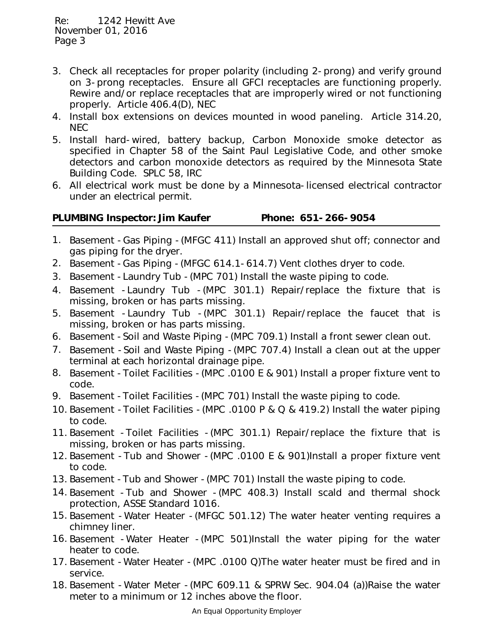- 3. Check all receptacles for proper polarity (including 2-prong) and verify ground on 3-prong receptacles. Ensure all GFCI receptacles are functioning properly. Rewire and/or replace receptacles that are improperly wired or not functioning properly. Article 406.4(D), NEC
- 4. Install box extensions on devices mounted in wood paneling. Article 314.20, NEC
- 5. Install hard-wired, battery backup, Carbon Monoxide smoke detector as specified in Chapter 58 of the Saint Paul Legislative Code, and other smoke detectors and carbon monoxide detectors as required by the Minnesota State Building Code. SPLC 58, IRC
- All electrical work must be done by a Minnesota-licensed electrical contractor 6. under an electrical permit.

| PLUMBING Inspector: Jim Kaufer | Phone: 651-266-9054 |
|--------------------------------|---------------------|
|                                |                     |

- 1. Basement -Gas Piping -(MFGC 411) Install an approved shut off; connector and gas piping for the dryer.
- 2. Basement -Gas Piping -(MFGC 614.1-614.7) Vent clothes dryer to code.
- 3. Basement -Laundry Tub -(MPC 701) Install the waste piping to code.
- 4. Basement -Laundry Tub -(MPC 301.1) Repair/replace the fixture that is missing, broken or has parts missing.
- 5. Basement -Laundry Tub -(MPC 301.1) Repair/replace the faucet that is missing, broken or has parts missing.
- 6. Basement -Soil and Waste Piping -(MPC 709.1) Install a front sewer clean out.
- 7. Basement -Soil and Waste Piping -(MPC 707.4) Install a clean out at the upper terminal at each horizontal drainage pipe.
- 8. Basement -Toilet Facilities -(MPC .0100 E & 901) Install a proper fixture vent to code.
- 9. Basement -Toilet Facilities -(MPC 701) Install the waste piping to code.
- 10. Basement -Toilet Facilities -(MPC .0100 P & Q & 419.2) Install the water piping to code.
- 11. Basement -Toilet Facilities -(MPC 301.1) Repair/replace the fixture that is missing, broken or has parts missing.
- 12. Basement -Tub and Shower -(MPC .0100 E & 901)Install a proper fixture vent to code.
- 13. Basement -Tub and Shower -(MPC 701) Install the waste piping to code.
- 14. Basement -Tub and Shower -(MPC 408.3) Install scald and thermal shock protection, ASSE Standard 1016.
- 15. Basement -Water Heater -(MFGC 501.12) The water heater venting requires a chimney liner.
- 16. Basement -Water Heater -(MPC 501)Install the water piping for the water heater to code.
- 17. Basement -Water Heater -(MPC .0100 Q)The water heater must be fired and in service.
- 18. Basement -Water Meter -(MPC 609.11 & SPRW Sec. 904.04 (a))Raise the water meter to a minimum or 12 inches above the floor.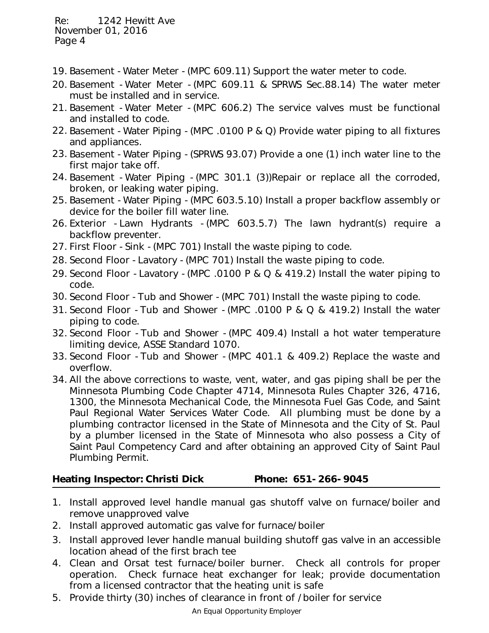- 19. Basement -Water Meter -(MPC 609.11) Support the water meter to code.
- 20. Basement -Water Meter -(MPC 609.11 & SPRWS Sec.88.14) The water meter must be installed and in service.
- 21. Basement -Water Meter -(MPC 606.2) The service valves must be functional and installed to code.
- 22. Basement -Water Piping -(MPC .0100 P & Q) Provide water piping to all fixtures and appliances.
- 23. Basement -Water Piping -(SPRWS 93.07) Provide a one (1) inch water line to the first major take off.
- 24. Basement -Water Piping -(MPC 301.1 (3))Repair or replace all the corroded, broken, or leaking water piping.
- 25. Basement -Water Piping -(MPC 603.5.10) Install a proper backflow assembly or device for the boiler fill water line.
- 26. Exterior -Lawn Hydrants -(MPC 603.5.7) The lawn hydrant(s) require a backflow preventer.
- 27. First Floor -Sink -(MPC 701) Install the waste piping to code.
- 28. Second Floor -Lavatory -(MPC 701) Install the waste piping to code.
- 29. Second Floor -Lavatory -(MPC .0100 P & Q & 419.2) Install the water piping to code.
- 30. Second Floor -Tub and Shower -(MPC 701) Install the waste piping to code.
- 31. Second Floor -Tub and Shower -(MPC .0100 P & Q & 419.2) Install the water piping to code.
- 32. Second Floor -Tub and Shower -(MPC 409.4) Install a hot water temperature limiting device, ASSE Standard 1070.
- 33. Second Floor -Tub and Shower -(MPC 401.1 & 409.2) Replace the waste and overflow.
- All the above corrections to waste, vent, water, and gas piping shall be per the 34. Minnesota Plumbing Code Chapter 4714, Minnesota Rules Chapter 326, 4716, 1300, the Minnesota Mechanical Code, the Minnesota Fuel Gas Code, and Saint Paul Regional Water Services Water Code. All plumbing must be done by a plumbing contractor licensed in the State of Minnesota and the City of St. Paul by a plumber licensed in the State of Minnesota who also possess a City of Saint Paul Competency Card and after obtaining an approved City of Saint Paul Plumbing Permit.

**Heating Inspector: Christi Dick Phone: 651-266-9045**

- 1. Install approved level handle manual gas shutoff valve on furnace/boiler and remove unapproved valve
- 2. Install approved automatic gas valve for furnace/boiler
- 3. Install approved lever handle manual building shutoff gas valve in an accessible location ahead of the first brach tee
- 4. Clean and Orsat test furnace/boiler burner. Check all controls for proper operation. Check furnace heat exchanger for leak; provide documentation from a licensed contractor that the heating unit is safe
- 5. Provide thirty (30) inches of clearance in front of /boiler for service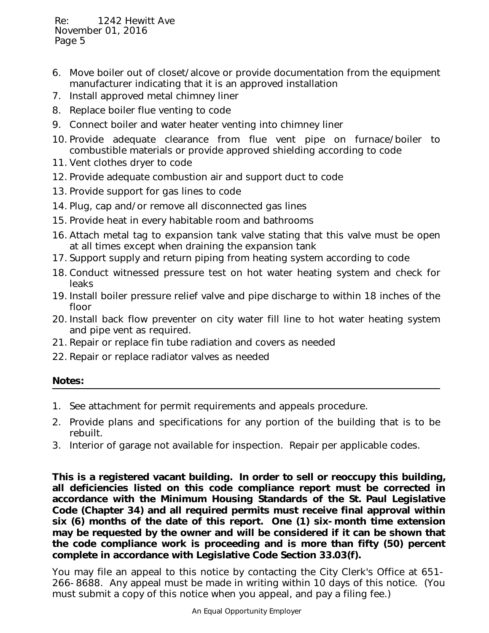- 6. Move boiler out of closet/alcove or provide documentation from the equipment manufacturer indicating that it is an approved installation
- 7. Install approved metal chimney liner
- 8. Replace boiler flue venting to code
- 9. Connect boiler and water heater venting into chimney liner
- 10. Provide adequate clearance from flue vent pipe on furnace/boiler to combustible materials or provide approved shielding according to code
- 11. Vent clothes dryer to code
- 12. Provide adequate combustion air and support duct to code
- 13. Provide support for gas lines to code
- 14. Plug, cap and/or remove all disconnected gas lines
- 15. Provide heat in every habitable room and bathrooms
- 16. Attach metal tag to expansion tank valve stating that this valve must be open at all times except when draining the expansion tank
- 17. Support supply and return piping from heating system according to code
- 18. Conduct witnessed pressure test on hot water heating system and check for leaks
- 19. Install boiler pressure relief valve and pipe discharge to within 18 inches of the floor
- 20. Install back flow preventer on city water fill line to hot water heating system and pipe vent as required.
- 21. Repair or replace fin tube radiation and covers as needed
- 22. Repair or replace radiator valves as needed

**Notes:**

- 1. See attachment for permit requirements and appeals procedure.
- 2. Provide plans and specifications for any portion of the building that is to be rebuilt.
- 3. Interior of garage not available for inspection. Repair per applicable codes.

**This is a registered vacant building. In order to sell or reoccupy this building, all deficiencies listed on this code compliance report must be corrected in accordance with the Minimum Housing Standards of the St. Paul Legislative Code (Chapter 34) and all required permits must receive final approval within six (6) months of the date of this report. One (1) six-month time extension may be requested by the owner and will be considered if it can be shown that the code compliance work is proceeding and is more than fifty (50) percent complete in accordance with Legislative Code Section 33.03(f).**

You may file an appeal to this notice by contacting the City Clerk's Office at 651- 266-8688. Any appeal must be made in writing within 10 days of this notice. (You must submit a copy of this notice when you appeal, and pay a filing fee.)